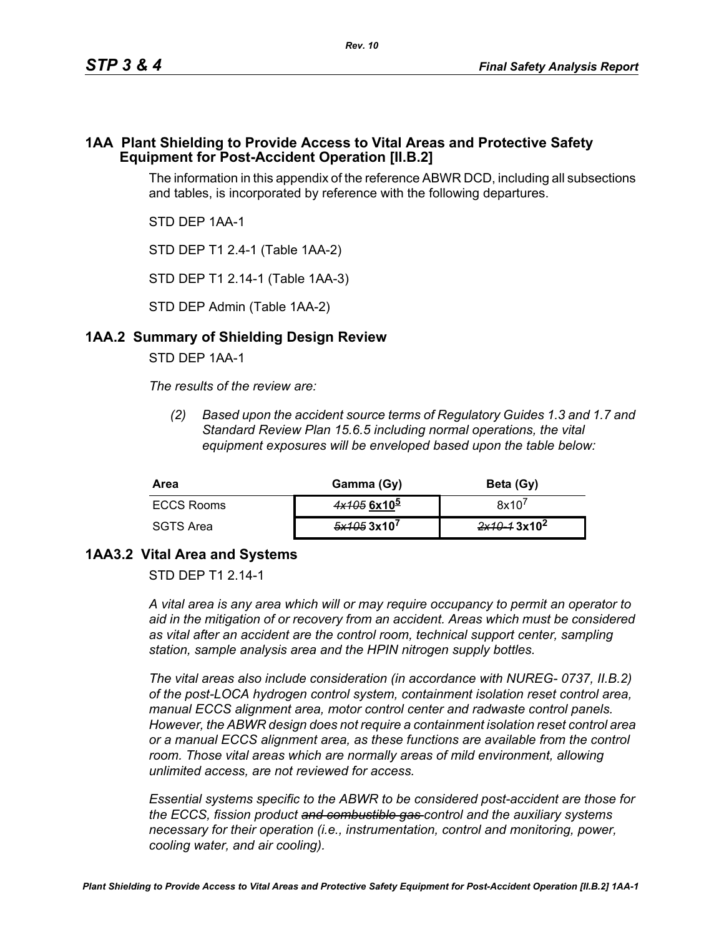#### **1AA Plant Shielding to Provide Access to Vital Areas and Protective Safety Equipment for Post-Accident Operation [II.B.2]**

The information in this appendix of the reference ABWR DCD, including all subsections and tables, is incorporated by reference with the following departures.

STD DEP 1AA-1

STD DEP T1 2.4-1 (Table 1AA-2)

STD DEP T1 2.14-1 (Table 1AA-3)

STD DEP Admin (Table 1AA-2)

## **1AA.2 Summary of Shielding Design Review**

STD DEP 1AA-1

*The results of the review are:*

*(2) Based upon the accident source terms of Regulatory Guides 1.3 and 1.7 and Standard Review Plan 15.6.5 including normal operations, the vital equipment exposures will be enveloped based upon the table below:*

| Area       | Gamma (Gy)    | Beta (Gy)               |
|------------|---------------|-------------------------|
| ECCS Rooms | $4x1056x10^5$ | 8x10'                   |
| SGTS Area  | 5x1053x10'    | 2x10-13x10 <sup>2</sup> |

## **1AA3.2 Vital Area and Systems**

STD DFP T1 2 14-1

*A vital area is any area which will or may require occupancy to permit an operator to aid in the mitigation of or recovery from an accident. Areas which must be considered as vital after an accident are the control room, technical support center, sampling station, sample analysis area and the HPIN nitrogen supply bottles.* 

*The vital areas also include consideration (in accordance with NUREG- 0737, II.B.2) of the post-LOCA hydrogen control system, containment isolation reset control area, manual ECCS alignment area, motor control center and radwaste control panels. However, the ABWR design does not require a containment isolation reset control area or a manual ECCS alignment area, as these functions are available from the control*  room. Those vital areas which are normally areas of mild environment, allowing *unlimited access, are not reviewed for access.* 

*Essential systems specific to the ABWR to be considered post-accident are those for the ECCS, fission product and combustible gas control and the auxiliary systems necessary for their operation (i.e., instrumentation, control and monitoring, power, cooling water, and air cooling).*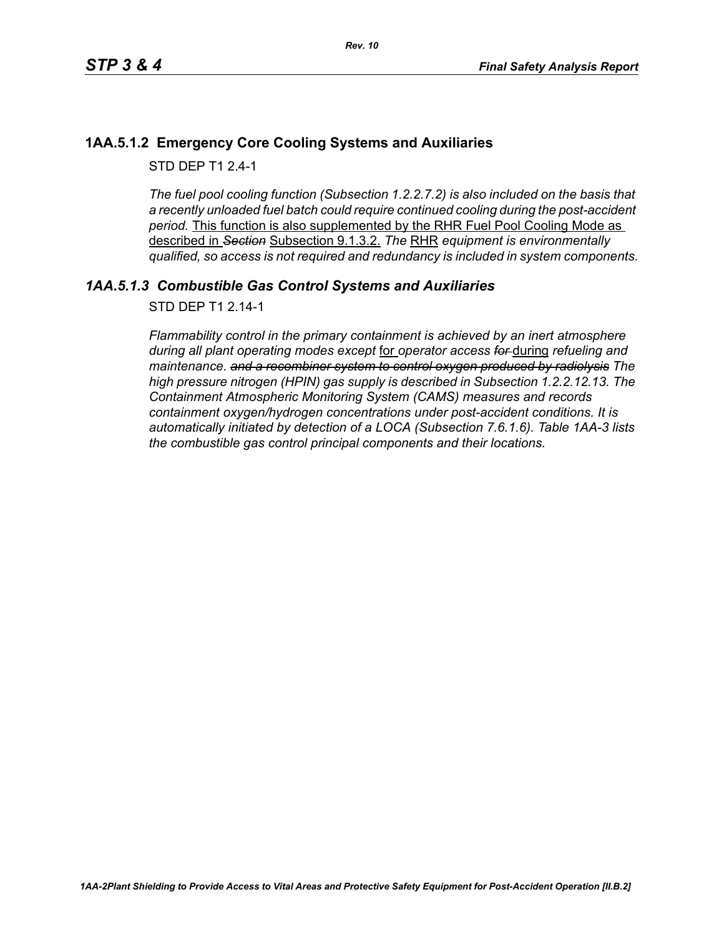## **1AA.5.1.2 Emergency Core Cooling Systems and Auxiliaries**

STD DFP T1 2 4-1

*The fuel pool cooling function (Subsection 1.2.2.7.2) is also included on the basis that a recently unloaded fuel batch could require continued cooling during the post-accident period.* This function is also supplemented by the RHR Fuel Pool Cooling Mode as described in *Section* Subsection 9.1.3.2. *The* RHR *equipment is environmentally qualified, so access is not required and redundancy is included in system components.*

# *1AA.5.1.3 Combustible Gas Control Systems and Auxiliaries*

STD DEP T1 2.14-1

*Flammability control in the primary containment is achieved by an inert atmosphere during all plant operating modes except* for *operator access for* during *refueling and maintenance. and a recombiner system to control oxygen produced by radiolysis The high pressure nitrogen (HPIN) gas supply is described in Subsection 1.2.2.12.13. The Containment Atmospheric Monitoring System (CAMS) measures and records containment oxygen/hydrogen concentrations under post-accident conditions. It is automatically initiated by detection of a LOCA (Subsection 7.6.1.6). Table 1AA-3 lists the combustible gas control principal components and their locations.*